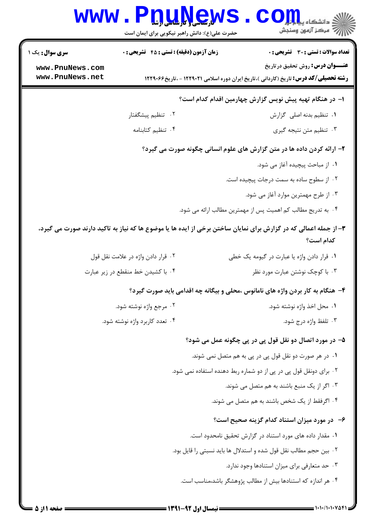|                        | www.P <u>nune</u> ws<br>حضرت علی(ع): دانش راهبر نیکویی برای ایمان است | رآ مرڪز آزمون وسنڊش                                                                                                           |
|------------------------|-----------------------------------------------------------------------|-------------------------------------------------------------------------------------------------------------------------------|
| <b>سری سوال :</b> یک ۱ | <b>زمان آزمون (دقیقه) : تستی : 45 تشریحی : 0</b>                      | <b>تعداد سوالات : تستی : 30 ٪ تشریحی : 0</b>                                                                                  |
| www.PnuNews.com        |                                                                       | <b>عنـــوان درس:</b> روش تحقیق درتاریخ                                                                                        |
| www.PnuNews.net        |                                                                       | <b>رشته تحصیلی/کد درس:</b> تاریخ (کاردانی )،تاریخ ایران دوره اسلامی ۱۲۲۹۰۲۱ - ،تاریخ۱۲۲۹۰۶۶                                   |
|                        |                                                                       | ا– در هنگام تهیه پیش نویس گزارش چهارمین اقدام کدام است؟                                                                       |
|                        | ۰۲ تنظیم پیشگفتار                                                     | ٠١ تنظيم بدنه اصلى گزارش                                                                                                      |
|                        | ۰۴ تنظیم کتابنامه                                                     | ۰۳ تنظیم متن نتیجه گیری                                                                                                       |
|                        |                                                                       | ۲- ارائه کردن داده ها در متن گزارش های علوم انسانی چگونه صورت می گیرد؟                                                        |
|                        |                                                                       | ١. از مباحث پیچیده آغاز می شود.                                                                                               |
|                        |                                                                       | ۰۲ از سطوح ساده به سمت درجات پیچیده است.                                                                                      |
|                        |                                                                       | ۰۳ از طرح مهمترین موارد آغاز می شود.                                                                                          |
|                        |                                                                       | ۰۴ به تدریج مطالب کم اهمیت پس از مهمترین مطالب ارائه می شود.                                                                  |
|                        |                                                                       | ۳- از جمله اعمالی که در گزارش برای نمایان ساختن برخی از ایده ها یا موضوع ها که نیاز به تاکید دارند صورت می گیرد،<br>كدام است؟ |
|                        | ٠٢ قرار دادن واژه در علامت نقل قول                                    | ۰۱ قرار دادن واژه یا عبارت در گیومه یک خطی                                                                                    |
|                        | ۰۴ با کشیدن خط منقطع در زیر عبارت                                     | ۰۳ با کوچک نوشتن عبارت مورد نظر                                                                                               |
|                        |                                                                       | ۴- هنگام به کار بردن واژه های نامانوس ،محلی و بیگانه چه اقدامی باید صورت گیرد؟                                                |
|                        | ۰۲ مرجع واژه نوشته شود.                                               | ٠١. محل اخذ واژه نوشته شود.                                                                                                   |
|                        | ۰۴ تعدد کاربرد واژه نوشته شود.                                        | ۰۳ تلفظ واژه درج شود.                                                                                                         |
|                        |                                                                       | ۵– در مورد اتصال دو نقل قول پی در پی چگونه عمل می شود؟                                                                        |
|                        |                                                                       | ۰۱ در هر صورت دو نقل قول پی در پی به هم متصل نمی شوند.                                                                        |
|                        |                                                                       | ۲. برای دونقل قول پی در پی از دو شماره ربط دهنده استفاده نمی شود.                                                             |
|                        |                                                                       | ۰۳ اگر از یک منبع باشند به هم متصل می شوند.                                                                                   |
|                        |                                                                       | ۰۴ اگرفقط از یک شخص باشند به هم متصل می شوند.                                                                                 |
|                        |                                                                       | ۶– در مورد میزان استناد کدام گزینه صحیح است؟                                                                                  |
|                        |                                                                       | ۰۱ مقدار داده های مورد استناد در گزارش تحقیق نامحدود است.                                                                     |
|                        |                                                                       | ۰۲ بین حجم مطالب نقل قول شده و استدلال ها باید نسبتی را قایل بود.                                                             |
|                        |                                                                       | ۰۳ حد متعارفی برای میزان استنادها وجود ندارد.                                                                                 |
|                        |                                                                       | ۰۴ هر اندازه که استنادها بیش از مطالب پژوهشگر باشد،مناسب است.                                                                 |
|                        |                                                                       |                                                                                                                               |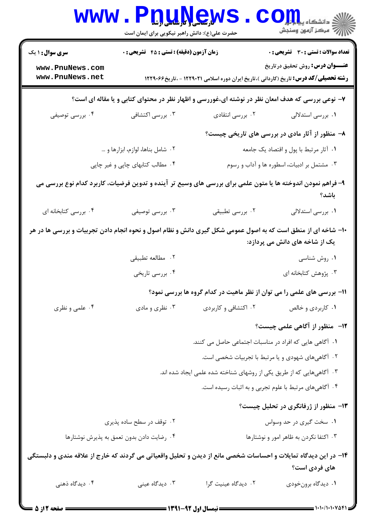| <b>WWW</b>                                                                                                      | حضرت علی(ع): دانش راهبر نیکویی برای ایمان است |                                                                                                              | $\text{OII}_k$ دانشکاه پی<br><i>إل<sup>7</sup> مرڪ</i> ز آزمون وسنڊش |
|-----------------------------------------------------------------------------------------------------------------|-----------------------------------------------|--------------------------------------------------------------------------------------------------------------|----------------------------------------------------------------------|
| <b>سری سوال :</b> ۱ یک                                                                                          | زمان آزمون (دقیقه) : تستی : 45 آتشریحی : 0    |                                                                                                              | <b>تعداد سوالات : تستی : 30 ٪ تشریحی : 0</b>                         |
| www.PnuNews.com<br>www.PnuNews.net                                                                              |                                               | <b>رشته تحصیلی/کد درس:</b> تاریخ (کاردانی )،تاریخ ایران دوره اسلامی ۱۲۲۹۰۲۱ - ،تاریخ۱۲۲۹۰۶۶                  | <b>عنـــوان درس:</b> روش تحقیق در تاریخ                              |
|                                                                                                                 |                                               | ۷- نوعی بررسی که هدف امعان نظر در نوشته ای،غوررسی و اظهار نظر در محتوای کتابی و یا مقاله ای است؟             |                                                                      |
| ۰۴ بررسی توصیفی                                                                                                 | ۰۳ بررسی اکتشافی                              | ۰۲ بررسی انتقادی                                                                                             | ۰۱ بررسی استدلالی                                                    |
|                                                                                                                 |                                               |                                                                                                              | ۸– منظور از آثار مادی در بررسی های تاریخی چیست؟                      |
|                                                                                                                 | ۰۲ شامل بناها، لوازم، ابزارها و …             |                                                                                                              | ٠١ آثار مرتبط با پول و اقتصاد يک جامعه                               |
|                                                                                                                 | ۰۴ مطالب کتابهای چاپی و غیر چاپی              |                                                                                                              | ۰۳ مشتمل بر ادبیات، اسطوره ها و آداب و رسوم                          |
|                                                                                                                 |                                               | ۹- فراهم نمودن اندوخته ها یا متون علمی برای بررسی های وسیع تر آینده و تدوین فرضیات، کاربرد کدام نوع بررسی می | باشد؟                                                                |
| ۰۴ بررسی کتابخانه ای                                                                                            | ۰۳ بررسی توصیفی                               | ۰۲ بررسی تطبیقی                                                                                              | ۰۱ بررسی استدلالی                                                    |
| ۱۰- شاخه ای از منطق است که به اصول عمومی شکل گیری دانش و نظام اصول و نحوه انجام دادن تجربیات و بررسی ها در هر   |                                               |                                                                                                              | یک از شاخه های دانش می پردازد:                                       |
|                                                                                                                 | ٠٢ مطالعه تطبيقي                              |                                                                                                              | ۰۱ روش شناسی                                                         |
|                                                                                                                 | ۰۴ بررسی تاریخی                               |                                                                                                              | ۰۳ پژوهش کتابخانه ای                                                 |
|                                                                                                                 |                                               | 11- بررسی های علمی را می توان از نظر ماهیت در کدام گروه ها بررسی نمود؟                                       |                                                                      |
| ۰۴ علمي و نظري                                                                                                  | ۰۳ نظري و مادي                                | ۰۲ اکتشافی و کاربردی                                                                                         | ۰۱ کاربردی و خالص                                                    |
|                                                                                                                 |                                               |                                                                                                              | <b>۱۲</b> - منظور از آگاهی علمی چیست؟                                |
|                                                                                                                 |                                               | ۱. آگاهی هایی که افراد در مناسبات اجتماعی حاصل می کنند.                                                      |                                                                      |
|                                                                                                                 |                                               | ۰۲ آگاهیهای شهودی و یا مرتبط با تجربیات شخصی است.                                                            |                                                                      |
|                                                                                                                 |                                               | ۰۳ آگاهیهایی که از طریق یکی از روشهای شناخته شده علمی ایجاد شده اند.                                         |                                                                      |
|                                                                                                                 |                                               | ۰۴ آگاهیهای مرتبط با علوم تجربی و به اثبات رسیده است.                                                        |                                                                      |
|                                                                                                                 |                                               |                                                                                                              | ۱۳- منظور از ژرفانگری در تحلیل چیست؟                                 |
|                                                                                                                 | ۰۲ توقف در سطح ساده پذیری                     |                                                                                                              | ۰۱ سخت گیری در حد وسواس                                              |
|                                                                                                                 | ۰۴ رضایت دادن بدون تعمق به پذیرش نوشتارها     |                                                                                                              | ۰۳ اکتفا نکردن به ظاهر امور و نوشتارها                               |
| ۱۴– در این دیدگاه تمایلات و احساسات شخصی مانع از دیدن و تحلیل واقعیاتی می گردند که خارج از علاقه مندی و دلبستگی |                                               |                                                                                                              |                                                                      |
|                                                                                                                 |                                               |                                                                                                              | های فردی است؟                                                        |
| ۰۴ دیدگاه ذهنی                                                                                                  | ۰۳ دیدگاه عینی                                | ٠٢ ديدگاه عينيت گرا                                                                                          | ۰۱ دیدگاه برونخودی                                                   |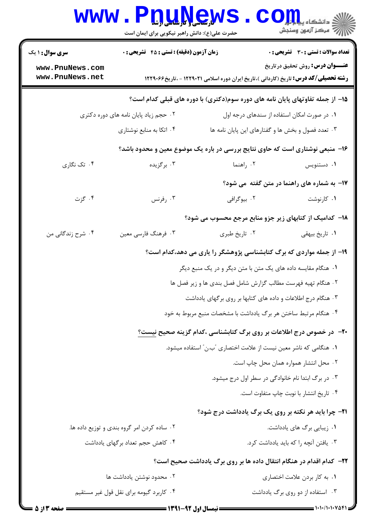|                                    | www.Pnunews<br>حضرت علی(ع): دانش راهبر نیکویی برای ایمان است |                                                                                             | $\mathbf{C}\mathbf{O}\mathbf{m}$ , we shall be $\mathbb{S}$<br>أأزاته أزمون وسنجش |
|------------------------------------|--------------------------------------------------------------|---------------------------------------------------------------------------------------------|-----------------------------------------------------------------------------------|
| <b>سری سوال : ۱ ی</b> ک            | <b>زمان آزمون (دقیقه) : تستی : 45 تشریحی : 0</b>             |                                                                                             | <b>تعداد سوالات : تستي : 30 ٪ تشريحي : 0</b>                                      |
| www.PnuNews.com<br>www.PnuNews.net |                                                              | <b>رشته تحصیلی/کد درس:</b> تاریخ (کاردانی )،تاریخ ایران دوره اسلامی ۱۲۲۹۰۲۱ - ،تاریخ۱۲۲۹۰۶۶ | <b>عنـــوان درس:</b> روش تحقیق در تاریخ                                           |
|                                    |                                                              | ۱۵– از جمله تفاوتهای پایان نامه های دوره سوم(دکتری) با دوره های قبلی کدام است؟              |                                                                                   |
|                                    | ۰۲ حجم زیاد پایان نامه های دوره دکتری                        |                                                                                             | ۰۱ در صورت امکان استفاده از سندهای درجه اول                                       |
|                                    | ۰۴ اتکا به منابع نوشتاری                                     | ۰۳ تعدد فصول و بخش ها و گفتارهای این پایان نامه ها                                          |                                                                                   |
|                                    |                                                              | ۱۶– منبعی نوشتاری است که حاوی نتایج بررسی در باره یک موضوع معین و محدود باشد؟               |                                                                                   |
| ۰۴ تک نگاری                        | ۰۳ برگزیده                                                   | ۰۲ راهنما                                                                                   | ۰۱ دستنویس                                                                        |
|                                    |                                                              |                                                                                             | 17- به شماره های راهنما در متن گفته می شود؟                                       |
| ۰۴ گزت                             | ۰۳ رفرنس                                                     | ۰۲ بیوگرافی                                                                                 | ۰۱ کارنوشت                                                                        |
|                                    |                                                              | ۱۸– کدامیک از کتابهای زیر جزو منابع مرجع محسوب می شود؟                                      |                                                                                   |
| ۰۴ شرح زندگانی من                  | ۰۳ فرهنگ فارسی معین                                          | ۰۲ تاريخ طبري                                                                               | ۰۱ تاریخ بیهقی                                                                    |
|                                    |                                                              | ۱۹- از جمله مواردی که برگ کتابشناسی پژوهشگر را یاری می دهد،کدام است؟                        |                                                                                   |
|                                    |                                                              | ۰۱ هنگام مقایسه داده های یک متن با متن دیگر و در یک منبع دیگر                               |                                                                                   |
|                                    |                                                              | ۰۲ هنگام تهیه فهرست مطالب گزارش شامل فصل بندی ها و زیر فصل ها                               |                                                                                   |
|                                    |                                                              | ۰۳ هنگام درج اطلاعات و داده های کتابها بر روی برگهای یادداشت                                |                                                                                   |
|                                    |                                                              | ۰۴ هنگام مرتبط ساختن هر برگ یادداشت با مشخصات منبع مربوط به خود                             |                                                                                   |

## ۲۰– در خصوص درج اطلاعات بر روی برگ کتابشناسی ،کدام گزینه صحیح نیست؟

- ۰۱ هنگامی که ناشر معین نیست از علامت اختصاری آب.ن ً استفاده میشود.
	- ۲. محل انتشار همواره همان محل چاپ است.
	- ۰۳ در برگ ابتدا نام خانوادگی در سطر اول درج میشود.
		- ۰۴ تاریخ انتشار با نوبت چاپ متفاوت است.

### **۲۱**- چرا باید هر نکته بر روی یک برگ یادداشت درج شود؟

| ۰۲ ساده کردن امر گروه بندی و توزیع داده ها. | ۰۱ زیبایی برگ های یادداشت.              |
|---------------------------------------------|-----------------------------------------|
| ۴ . كاهش حجم تعداد برگهای يادداشت           | ۰۳ . یافتن آنچه را که باید یادداشت کرد. |

## **۲۲**– کدام اقدام در هنگام انتقال داده ها بر روی برگ یادداشت صحیح است؟

| ۰۲ محدود نوشتن یادداشت ها               | ۰۱ به کار بردن علامت اختصاری     |
|-----------------------------------------|----------------------------------|
| ۰۴ کاربرد گیومه برای نقل قول غیر مستقیم | ۰۳ استفاده از دو روی برگ یادداشت |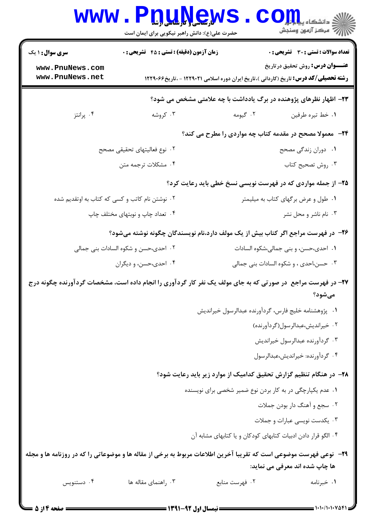|                                                                                                                           | www.PnuŅew<br>حضرت علی(ع): دانش راهبر نیکویی برای ایمان است |                                                               | اللاء دانشڪاء پي <mark>ا ۾ ٿو.</mark><br>الله عرکز آزمون وسنڊش                                                                         |
|---------------------------------------------------------------------------------------------------------------------------|-------------------------------------------------------------|---------------------------------------------------------------|----------------------------------------------------------------------------------------------------------------------------------------|
| <b>سری سوال : ۱ یک</b>                                                                                                    | زمان آزمون (دقیقه) : تستی : 45 آتشریحی : 0                  |                                                               | <b>تعداد سوالات : تستی : 30 ٪ تشریحی : 0</b>                                                                                           |
| www.PnuNews.com<br>www.PnuNews.net                                                                                        |                                                             |                                                               | <b>عنـــوان درس:</b> روش تحقیق در تاریخ<br><b>رشته تحصیلی/کد درس:</b> تاریخ (کاردانی )،تاریخ ایران دوره اسلامی ۱۲۲۹۰۲۱ - ،تاریخ۱۲۲۹۰۶۶ |
|                                                                                                                           |                                                             |                                                               | ۲۳- اظهار نظرهای پژوهنده در برگ یادداشت با چه علامتی مشخص می شود؟                                                                      |
| ۰۴ پرانتز                                                                                                                 | ۰۳ کروشه                                                    | ۰۲ گیومه                                                      | ٠١. خط تيره طرفين                                                                                                                      |
|                                                                                                                           |                                                             |                                                               | ۲۴-۔ معمولا مصحح در مقدمه کتاب چه مواردی را مطرح می کند؟                                                                               |
| ٢. نوع فعاليتهاى تحقيقى مصحح                                                                                              |                                                             |                                                               | ۰۱ دوران زندگی مصحح                                                                                                                    |
| ۰۴ مشکلات ترجمه متن                                                                                                       |                                                             |                                                               | ۰۳ روش تصحیح کتاب                                                                                                                      |
|                                                                                                                           |                                                             |                                                               | ۲۵- از جمله مواردی که در فهرست نویسی نسخ خطی باید رعایت کرد؟                                                                           |
| ۰۲ نوشتن نام کاتب و کسی که کتاب به اوتقدیم شده                                                                            |                                                             |                                                               | ۰۱ طول و عرض برگهای کتاب به میلیمتر                                                                                                    |
| ۰۴ تعداد چاپ و نوبتهای مختلف چاپ                                                                                          |                                                             |                                                               | ۰۳ نام ناشر و محل نشر                                                                                                                  |
|                                                                                                                           |                                                             |                                                               | ۲۶– در فهرست مراجع اگر کتاب بیش از یک مولف دارد،نام نویسندگان چگونه نوشته میشود؟                                                       |
| ۰۲ احدی،حسن و شکوه السادات بنی جمالی                                                                                      |                                                             |                                                               | ٠١ احدى،حسن، و بنى جمالى،شكوه السادات                                                                                                  |
| ۰۴ احدي،حسن، و ديگران                                                                                                     |                                                             |                                                               | ۰۳ حسن،احدی ، و شکوه السادات بنی جمالی                                                                                                 |
| ۲۷- در فهرست مراجع ً در صورتی که به جای مولف یک نفر کار گردآوری را انجام داده است، مشخصات گردآورنده چگونه درج             |                                                             |                                                               | مىشود؟                                                                                                                                 |
|                                                                                                                           |                                                             | ٠١ پژوهشنامه خليج فارس، گردآورنده عبدالرسول خيرانديش          |                                                                                                                                        |
|                                                                                                                           |                                                             |                                                               | ۰۲ خیراندیش،عبدالرسول(گردآورنده)                                                                                                       |
| ۰۳ گردآورنده عبدالرسول خيرانديش                                                                                           |                                                             |                                                               |                                                                                                                                        |
|                                                                                                                           |                                                             |                                                               | ۰۴ کردآورنده: خیراندیش،عبدالرسول                                                                                                       |
|                                                                                                                           |                                                             |                                                               | ۲۸– در هنگام تنظیم گزارش تحقیق کدامیک از موارد زیر باید رعایت شود؟                                                                     |
|                                                                                                                           |                                                             | ۰۱ عدم یکپارچگی در به کار بردن نوع ضمیر شخصی برای نویسنده     |                                                                                                                                        |
| ۲. سجع و أهنگ دار بودن جملات                                                                                              |                                                             |                                                               |                                                                                                                                        |
|                                                                                                                           |                                                             |                                                               | ۰۳ یکدست نویسی عبارات و جملات                                                                                                          |
|                                                                                                                           |                                                             | ۰۴ الگو قرار دادن ادبیات کتابهای کودکان و یا کتابهای مشابه آن |                                                                                                                                        |
| <b>۲۹</b> - نوعی فهرست موضوعی است که تقریبا آخرین اطلاعات مربوط به برخی از مقاله ها و موضوعاتی را که در روزنامه ها و مجله |                                                             |                                                               |                                                                                                                                        |
|                                                                                                                           |                                                             |                                                               | ها چاپ شده اند معرفی می نماید:                                                                                                         |
| ۰۴ دستنویس                                                                                                                | ۰۳ راهنمای مقاله ها                                         | ۰۲ فهرست منابع                                                | ۰۱ خبرنامه                                                                                                                             |
|                                                                                                                           |                                                             |                                                               |                                                                                                                                        |